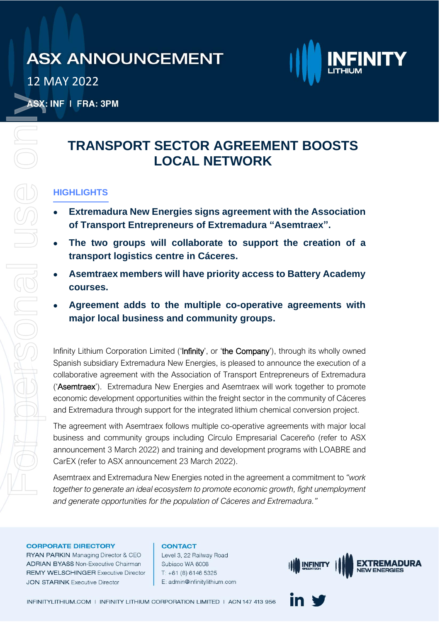12 MAY 2022



ASX: INF | FRA: 3PM

### **TRANSPORT SECTOR AGREEMENT BOOSTS LOCAL NETWORK**

### **HIGHLIGHTS**

- **Extremadura New Energies signs agreement with the Association of Transport Entrepreneurs of Extremadura "Asemtraex".**
- **The two groups will collaborate to support the creation of a transport logistics centre in Cáceres.**
- **Asemtraex members will have priority access to Battery Academy courses.**
- **Agreement adds to the multiple co-operative agreements with major local business and community groups.**

Infinity Lithium Corporation Limited ('Infinity', or 'the Company'), through its wholly owned Spanish subsidiary Extremadura New Energies, is pleased to announce the execution of a collaborative agreement with the Association of Transport Entrepreneurs of Extremadura ('Asemtraex'). Extremadura New Energies and Asemtraex will work together to promote economic development opportunities within the freight sector in the community of Cáceres and Extremadura through support for the integrated lithium chemical conversion project. For personal use only

The agreement with Asemtraex follows multiple co-operative agreements with major local business and community groups including Círculo Empresarial Cacereño (refer to ASX announcement 3 March 2022) and training and development programs with LOABRE and CarEX (refer to ASX announcement 23 March 2022).

Asemtraex and Extremadura New Energies noted in the agreement a commitment to *"work together to generate an ideal ecosystem to promote economic growth, fight unemployment and generate opportunities for the population of Cáceres and Extremadura."*

#### **CORPORATE DIRECTORY**

RYAN PARKIN Managing Director & CEO **ADRIAN BYASS Non-Executive Chairman REMY WELSCHINGER Executive Director JON STARINK Executive Director** 

#### **CONTACT**

Level 3, 22 Railway Road Subiaco WA 6008  $T: +61(8)61465325$ E: admin@infinitylithium.com

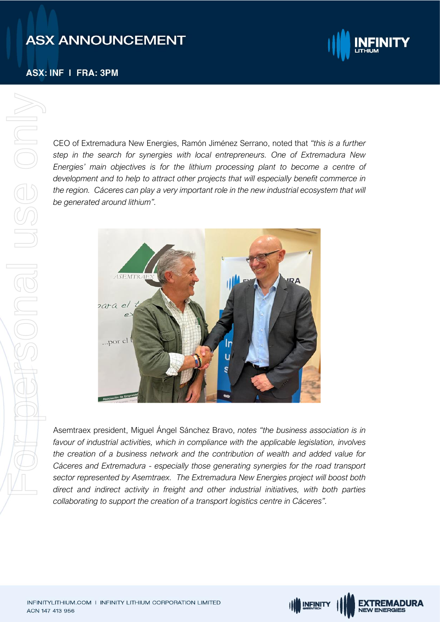### **ASX: INF I FRA: 3PM**



**EXTREMADURA NEW ENERGIES** 

CEO of Extremadura New Energies, Ramón Jiménez Serrano, noted that *"this is a further step in the search for synergies with local entrepreneurs. One of Extremadura New Energies' main objectives is for the lithium processing plant to become a centre of development and to help to attract other projects that will especially benefit commerce in the region. Cáceres can play a very important role in the new industrial ecosystem that will be generated around lithium".*



Asemtraex president, Miguel Ángel Sánchez Bravo, *notes "the business association is in favour of industrial activities, which in compliance with the applicable legislation, involves the creation of a business network and the contribution of wealth and added value for Cáceres and Extremadura - especially those generating synergies for the road transport sector represented by Asemtraex. The Extremadura New Energies project will boost both direct and indirect activity in freight and other industrial initiatives, with both parties collaborating to support the creation of a transport logistics centre in Cáceres".*

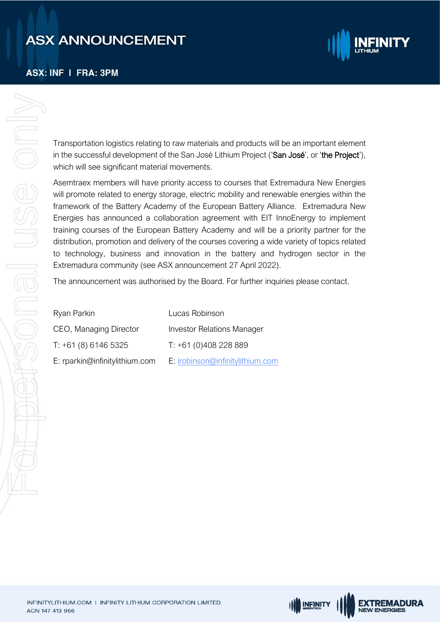#### **ASX: INF I FRA: 3PM**



Transportation logistics relating to raw materials and products will be an important element in the successful development of the San José Lithium Project ('San José', or 'the Project'), which will see significant material movements.

Asemtraex members will have priority access to courses that Extremadura New Energies will promote related to energy storage, electric mobility and renewable energies within the framework of the Battery Academy of the European Battery Alliance. Extremadura New Energies has announced a collaboration agreement with EIT InnoEnergy to implement training courses of the European Battery Academy and will be a priority partner for the distribution, promotion and delivery of the courses covering a wide variety of topics related to technology, business and innovation in the battery and hydrogen sector in the Extremadura community (see ASX announcement 27 April 2022).

The announcement was authorised by the Board. For further inquiries please contact.

**IN INFINITY** 

**EXTREMADURA** 

**NEW ENERGIES** 

| Ryan Parkin                    | Lucas Robinson                    |
|--------------------------------|-----------------------------------|
| CEO, Managing Director         | <b>Investor Relations Manager</b> |
| T: +61 (8) 6146 5325           | $T: +61(0)408228889$              |
| E: rparkin@infinitylithium.com | E: Irobinson@infinitylithium.com  |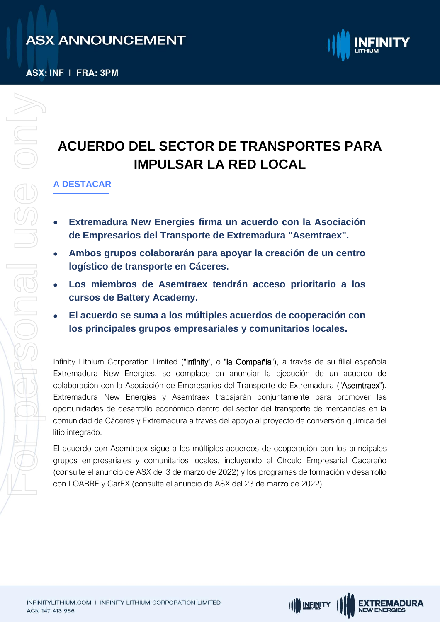

# **ACUERDO DEL SECTOR DE TRANSPORTES PARA IMPULSAR LA RED LOCAL**

### **A DESTACAR**

- **Extremadura New Energies firma un acuerdo con la Asociación de Empresarios del Transporte de Extremadura "Asemtraex".**
- **Ambos grupos colaborarán para apoyar la creación de un centro logístico de transporte en Cáceres.**
- **Los miembros de Asemtraex tendrán acceso prioritario a los cursos de Battery Academy.**
- **El acuerdo se suma a los múltiples acuerdos de cooperación con los principales grupos empresariales y comunitarios locales.**

Infinity Lithium Corporation Limited ("Infinity", o "la Compañía"), a través de su filial española Extremadura New Energies, se complace en anunciar la ejecución de un acuerdo de colaboración con la Asociación de Empresarios del Transporte de Extremadura ("Asemtraex"). Extremadura New Energies y Asemtraex trabajarán conjuntamente para promover las oportunidades de desarrollo económico dentro del sector del transporte de mercancías en la comunidad de Cáceres y Extremadura a través del apoyo al proyecto de conversión química del litio integrado.

El acuerdo con Asemtraex sigue a los múltiples acuerdos de cooperación con los principales grupos empresariales y comunitarios locales, incluyendo el Círculo Empresarial Cacereño (consulte el anuncio de ASX del 3 de marzo de 2022) y los programas de formación y desarrollo con LOABRE y CarEX (consulte el anuncio de ASX del 23 de marzo de 2022).

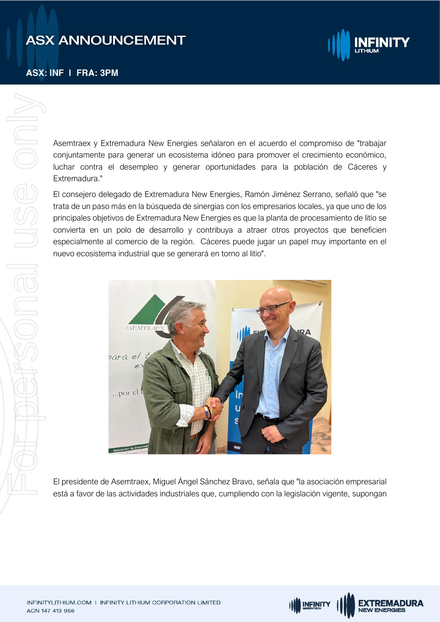**ASX: INF I FRA: 3PM** 



Asemtraex y Extremadura New Energies señalaron en el acuerdo el compromiso de "trabajar conjuntamente para generar un ecosistema idóneo para promover el crecimiento económico, luchar contra el desempleo y generar oportunidades para la población de Cáceres y Extremadura."

El consejero delegado de Extremadura New Energies, Ramón Jiménez Serrano, señaló que "se trata de un paso más en la búsqueda de sinergias con los empresarios locales, ya que uno de los principales objetivos de Extremadura New Energies es que la planta de procesamiento de litio se convierta en un polo de desarrollo y contribuya a atraer otros proyectos que beneficien especialmente al comercio de la región. Cáceres puede jugar un papel muy importante en el nuevo ecosistema industrial que se generará en torno al litio".



El presidente de Asemtraex, Miguel Ángel Sánchez Bravo, señala que "la asociación empresarial está a favor de las actividades industriales que, cumpliendo con la legislación vigente, supongan

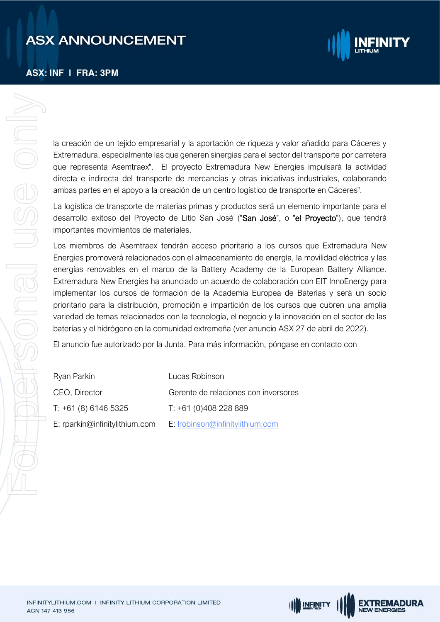**ASX: INF I FRA: 3PM** 



la creación de un tejido empresarial y la aportación de riqueza y valor añadido para Cáceres y Extremadura, especialmente las que generen sinergias para el sector del transporte por carretera que representa Asemtraex". El proyecto Extremadura New Energies impulsará la actividad directa e indirecta del transporte de mercancías y otras iniciativas industriales, colaborando ambas partes en el apoyo a la creación de un centro logístico de transporte en Cáceres".

La logística de transporte de materias primas y productos será un elemento importante para el desarrollo exitoso del Proyecto de Litio San José ("San José", o "el Proyecto"), que tendrá importantes movimientos de materiales.

Los miembros de Asemtraex tendrán acceso prioritario a los cursos que Extremadura New Energies promoverá relacionados con el almacenamiento de energía, la movilidad eléctrica y las energías renovables en el marco de la Battery Academy de la European Battery Alliance. Extremadura New Energies ha anunciado un acuerdo de colaboración con EIT InnoEnergy para implementar los cursos de formación de la Academia Europea de Baterías y será un socio prioritario para la distribución, promoción e impartición de los cursos que cubren una amplia variedad de temas relacionados con la tecnología, el negocio y la innovación en el sector de las baterías y el hidrógeno en la comunidad extremeña (ver anuncio ASX 27 de abril de 2022).

El anuncio fue autorizado por la Junta. Para más información, póngase en contacto con

| Ryan Parkin                    | Lucas Robinson                       |
|--------------------------------|--------------------------------------|
| CEO, Director                  | Gerente de relaciones con inversores |
| T: +61 (8) 6146 5325           | $T: +61(0)408228889$                 |
| E: rparkin@infinitylithium.com | E: Irobinson@infinitylithium.com     |

**IN INFINITY** 

**EXTREMADURA** 

**NEW ENERGIES**